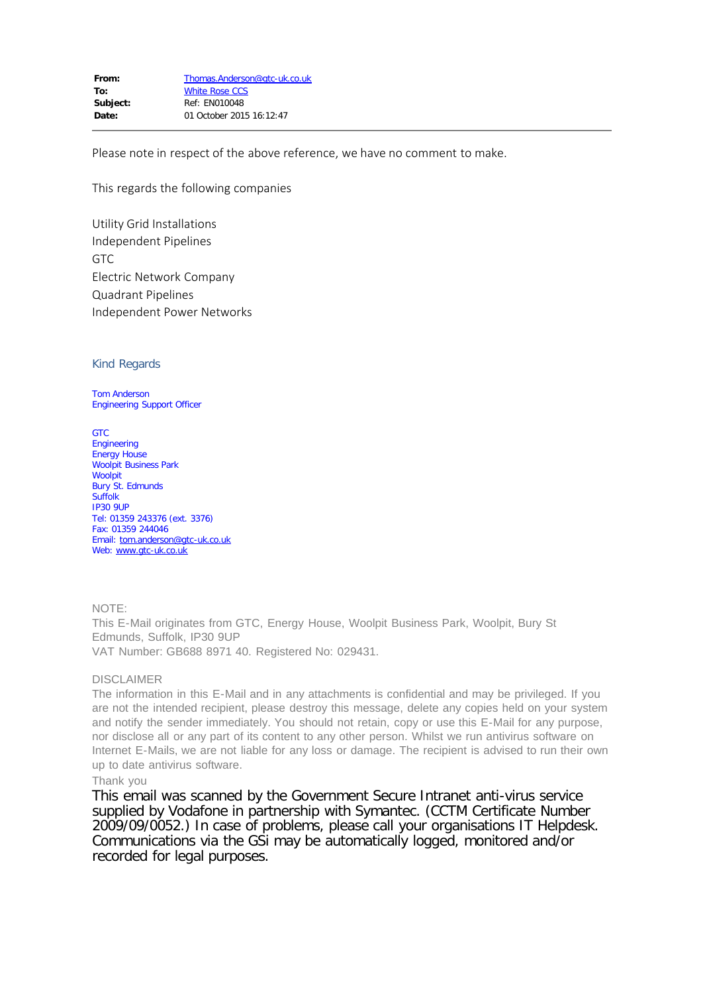Please note in respect of the above reference, we have no comment to make.

This regards the following companies

Utility Grid Installations Independent Pipelines GTC Electric Network Company Quadrant Pipelines Independent Power Networks

# Kind Regards

Tom Anderson Engineering Support Officer

**GTC** Engineering Energy House Woolpit Business Park Woolpit Bury St. Edmunds Suffolk IP30 9UP Tel: 01359 243376 (ext. 3376) Fax: 01359 244046 Email: [tom.anderson@gtc-uk.co.uk](mailto:tom.anderson@gtc-uk.co.uk) Web: [www.gtc-uk.co.uk](http://www.gtc-uk.co.uk/)

# NOTE:

This E-Mail originates from GTC, Energy House, Woolpit Business Park, Woolpit, Bury St Edmunds, Suffolk, IP30 9UP VAT Number: GB688 8971 40. Registered No: 029431.

# DISCLAIMER

The information in this E-Mail and in any attachments is confidential and may be privileged. If you are not the intended recipient, please destroy this message, delete any copies held on your system and notify the sender immediately. You should not retain, copy or use this E-Mail for any purpose, nor disclose all or any part of its content to any other person. Whilst we run antivirus software on Internet E-Mails, we are not liable for any loss or damage. The recipient is advised to run their own up to date antivirus software.

# Thank you

This email was scanned by the Government Secure Intranet anti-virus service supplied by Vodafone in partnership with Symantec. (CCTM Certificate Number 2009/09/0052.) In case of problems, please call your organisations IT Helpdesk. Communications via the GSi may be automatically logged, monitored and/or recorded for legal purposes.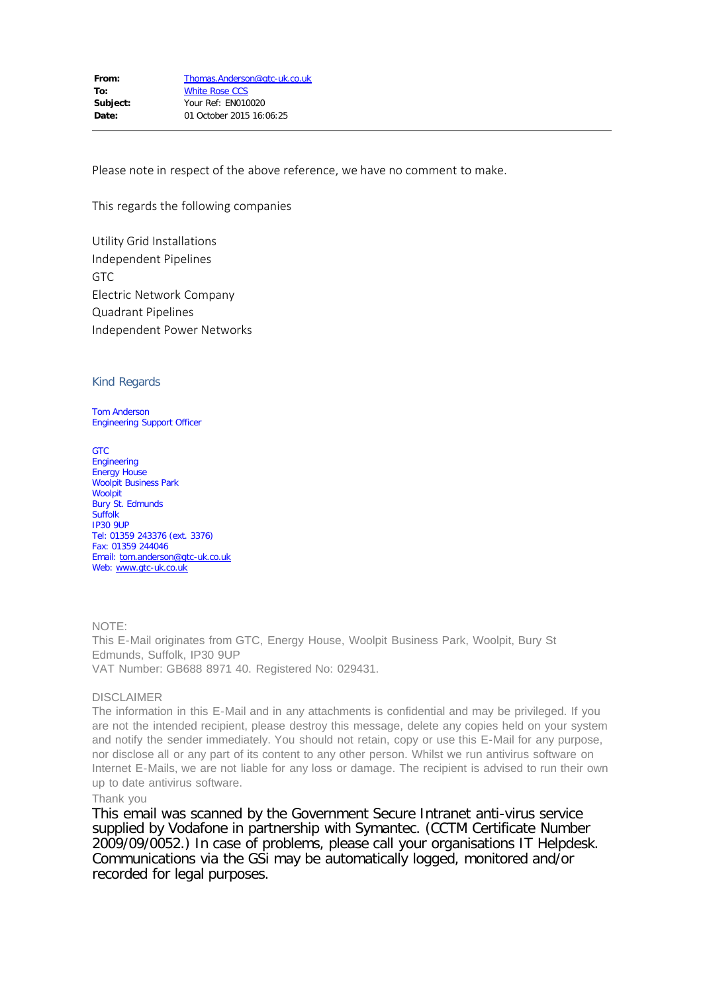Please note in respect of the above reference, we have no comment to make.

This regards the following companies

Utility Grid Installations Independent Pipelines GTC Electric Network Company Quadrant Pipelines Independent Power Networks

# Kind Regards

Tom Anderson Engineering Support Officer

**GTC** Engineering Energy House Woolpit Business Park **Woolpit** Bury St. Edmunds Suffolk IP30 9UP Tel: 01359 243376 (ext. 3376) Fax: 01359 244046 Email: [tom.anderson@gtc-uk.co.uk](mailto:tom.anderson@gtc-uk.co.uk) Web: [www.gtc-uk.co.uk](http://www.gtc-uk.co.uk/)

NOTE: This E-Mail originates from GTC, Energy House, Woolpit Business Park, Woolpit, Bury St Edmunds, Suffolk, IP30 9UP VAT Number: GB688 8971 40. Registered No: 029431.

# DISCLAIMER

The information in this E-Mail and in any attachments is confidential and may be privileged. If you are not the intended recipient, please destroy this message, delete any copies held on your system and notify the sender immediately. You should not retain, copy or use this E-Mail for any purpose, nor disclose all or any part of its content to any other person. Whilst we run antivirus software on Internet E-Mails, we are not liable for any loss or damage. The recipient is advised to run their own up to date antivirus software.

# Thank you

This email was scanned by the Government Secure Intranet anti-virus service supplied by Vodafone in partnership with Symantec. (CCTM Certificate Number 2009/09/0052.) In case of problems, please call your organisations IT Helpdesk. Communications via the GSi may be automatically logged, monitored and/or recorded for legal purposes.